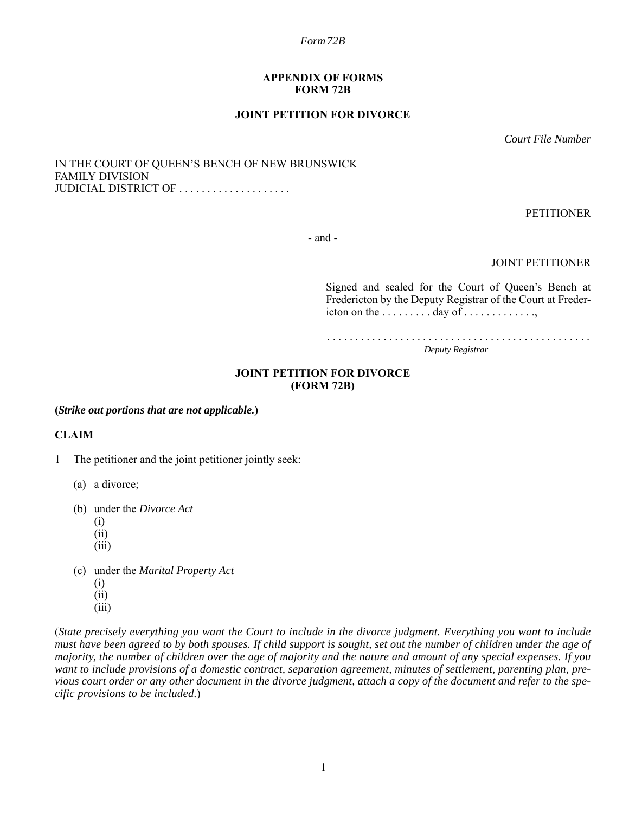#### **APPENDIX OF FORMS FORM 72B**

### **JOINT PETITION FOR DIVORCE**

*Court File Number*

IN THE COURT OF QUEEN'S BENCH OF NEW BRUNSWICK FAMILY DIVISION JUDICIAL DISTRICT OF . . . . . . . . . . . . . . . . . . . .

PETITIONER

- and -

JOINT PETITIONER

Signed and sealed for the Court of Queen's Bench at Fredericton by the Deputy Registrar of the Court at Fredericton on the . . . . . . . . . day of . . . . . . . . . . . . .,

. . . . . . . . . . . . . . . . . . . . . . . . . . . . . . . . . . . . . . . . . . . . . . . *Deputy Registrar*

#### **JOINT PETITION FOR DIVORCE (FORM 72B)**

**(***Strike out portions that are not applicable.***)**

### **CLAIM**

- 1 The petitioner and the joint petitioner jointly seek:
	- (a) a divorce;
	- (b) under the *Divorce Act*
		- (i)
		- (ii)
		- (iii)
	- (c) under the *Marital Property Act*
		- (i)
		- (ii)
		- (iii)

(*State precisely everything you want the Court to include in the divorce judgment. Everything you want to include must have been agreed to by both spouses. If child support is sought, set out the number of children under the age of majority, the number of children over the age of majority and the nature and amount of any special expenses. If you want to include provisions of a domestic contract, separation agreement, minutes of settlement, parenting plan, previous court order or any other document in the divorce judgment, attach a copy of the document and refer to the specific provisions to be included*.)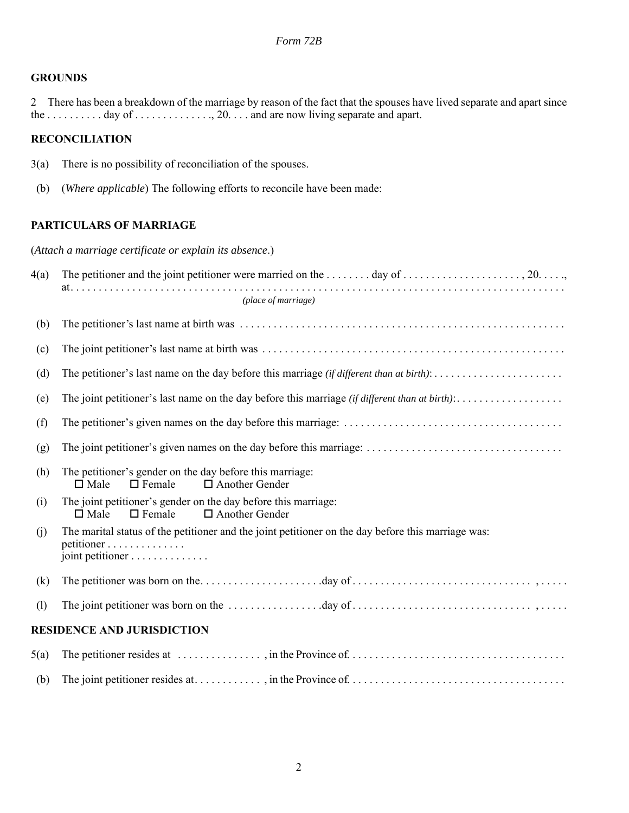### **GROUNDS**

2 There has been a breakdown of the marriage by reason of the fact that the spouses have lived separate and apart since the . . . . . . . . . . day of . . . . . . . . . . . . . , 20. . . . and are now living separate and apart.

# **RECONCILIATION**

- 3(a) There is no possibility of reconciliation of the spouses.
- (b) (*Where applicable*) The following efforts to reconcile have been made:

# **PARTICULARS OF MARRIAGE**

(*Attach a marriage certificate or explain its absence*.)

| 4(a) |                                                                                                                                      |  |  |  |
|------|--------------------------------------------------------------------------------------------------------------------------------------|--|--|--|
|      | (place of marriage)                                                                                                                  |  |  |  |
| (b)  |                                                                                                                                      |  |  |  |
| (c)  |                                                                                                                                      |  |  |  |
| (d)  |                                                                                                                                      |  |  |  |
| (e)  |                                                                                                                                      |  |  |  |
| (f)  |                                                                                                                                      |  |  |  |
| (g)  |                                                                                                                                      |  |  |  |
| (h)  | The petitioner's gender on the day before this marriage:<br>$\square$ Male<br>$\Box$ Female<br>$\Box$ Another Gender                 |  |  |  |
| (i)  | The joint petitioner's gender on the day before this marriage:<br>$\Box$ Female<br>$\Box$ Another Gender<br>$\square$ Male           |  |  |  |
| (i)  | The marital status of the petitioner and the joint petitioner on the day before this marriage was:<br>petitioner<br>joint petitioner |  |  |  |
| (k)  |                                                                                                                                      |  |  |  |
| (1)  |                                                                                                                                      |  |  |  |
|      | <b>RESIDENCE AND JURISDICTION</b>                                                                                                    |  |  |  |
| 5(a) |                                                                                                                                      |  |  |  |
| (b)  |                                                                                                                                      |  |  |  |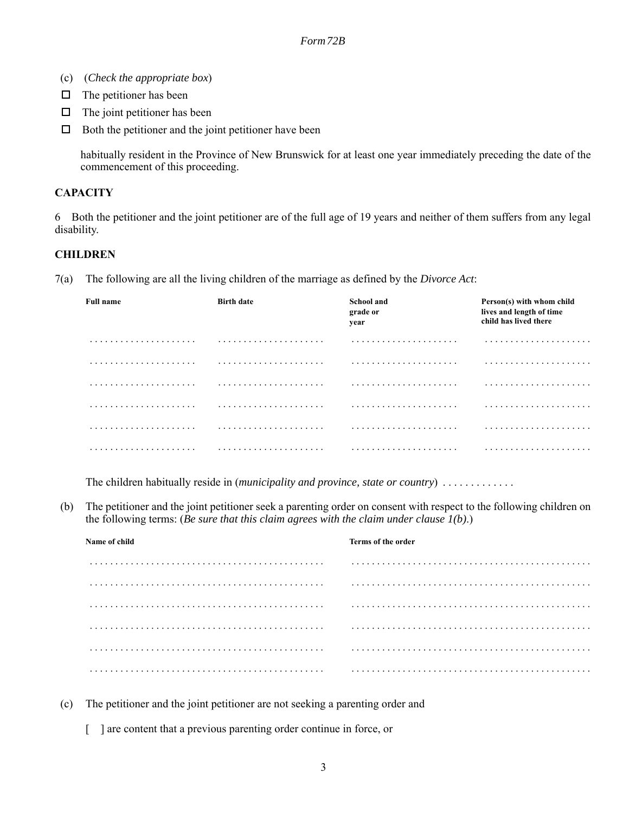- (c) (*Check the appropriate box*)
- $\Box$  The petitioner has been
- $\Box$  The joint petitioner has been
- $\Box$  Both the petitioner and the joint petitioner have been

habitually resident in the Province of New Brunswick for at least one year immediately preceding the date of the commencement of this proceeding.

### **CAPACITY**

6 Both the petitioner and the joint petitioner are of the full age of 19 years and neither of them suffers from any legal disability.

### **CHILDREN**

7(a) The following are all the living children of the marriage as defined by the *Divorce Act*:

| <b>Full name</b> | <b>Birth date</b> | <b>School and</b><br>grade or<br>year | Person(s) with whom child<br>lives and length of time<br>child has lived there |
|------------------|-------------------|---------------------------------------|--------------------------------------------------------------------------------|
|                  |                   |                                       |                                                                                |
|                  |                   |                                       |                                                                                |
|                  |                   |                                       |                                                                                |
|                  |                   |                                       |                                                                                |
|                  |                   |                                       |                                                                                |
|                  |                   |                                       |                                                                                |

The children habitually reside in (*municipality and province, state or country*) . . . . . . . . . . . . .

(b) The petitioner and the joint petitioner seek a parenting order on consent with respect to the following children on the following terms: (*Be sure that this claim agrees with the claim under clause 1(b)*.)

| Name of child | Terms of the order |  |
|---------------|--------------------|--|
|               |                    |  |
|               |                    |  |
|               |                    |  |
|               |                    |  |
|               |                    |  |
|               |                    |  |

- (c) The petitioner and the joint petitioner are not seeking a parenting order and
	- [ ] are content that a previous parenting order continue in force, or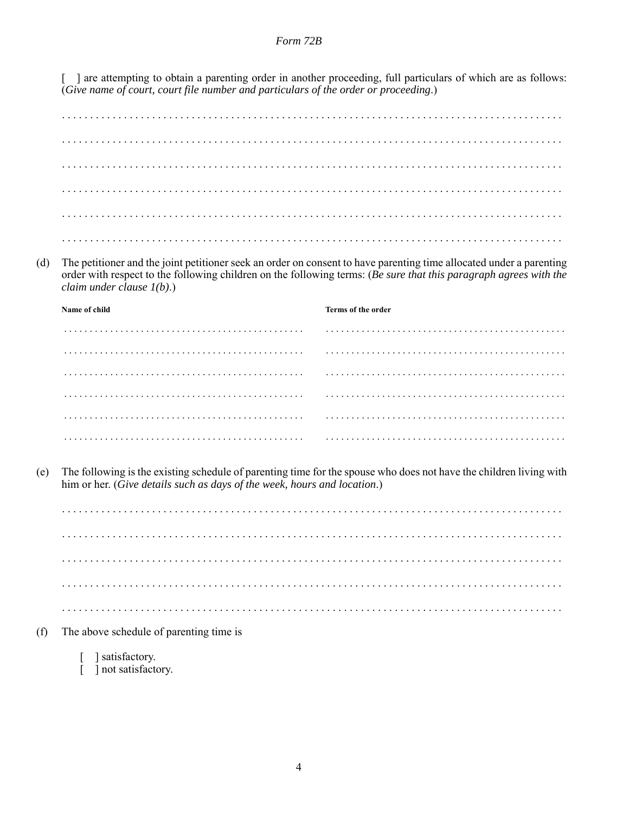[ ] are attempting to obtain a parenting order in another proceeding, full particulars of which are as follows: (Give name of court, court file number and particulars of the order or proceeding.)

The petitioner and the joint petitioner seek an order on consent to have parenting time allocated under a parenting  $(d)$ order with respect to the following children on the following terms: (Be sure that this paragraph agrees with the claim under clause  $I(b)$ .)

| Name of child | Terms of the order |
|---------------|--------------------|
|               |                    |
|               |                    |
|               |                    |
|               |                    |
|               |                    |
|               |                    |

The following is the existing schedule of parenting time for the spouse who does not have the children living with  $(e)$ him or her. (Give details such as days of the week, hours and location.)

- The above schedule of parenting time is  $(f)$ 
	- ] satisfactory. ] not satisfactory.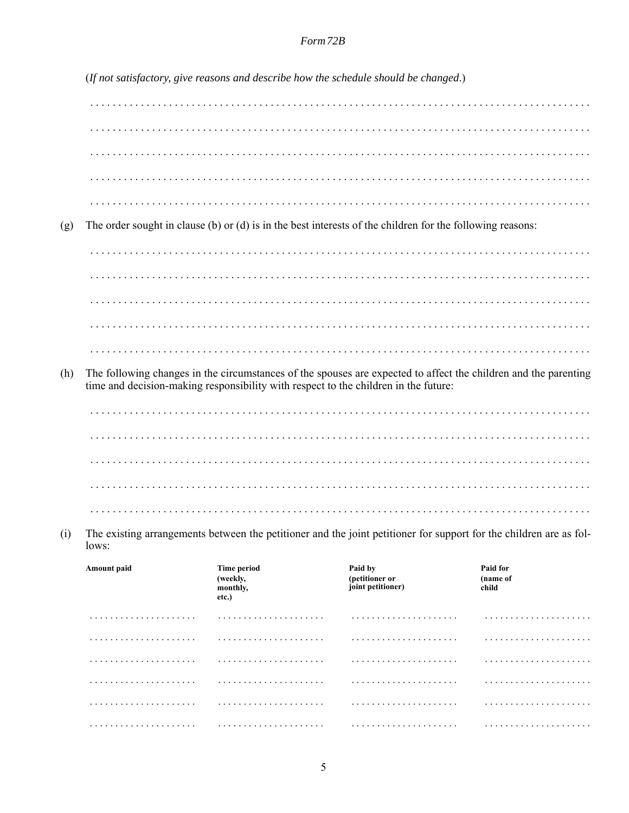|                                                                                                                                    |                                                                                                                                                                                                        |                                                     | (If not satisfactory, give reasons and describe how the schedule should be changed.)                      |                               |
|------------------------------------------------------------------------------------------------------------------------------------|--------------------------------------------------------------------------------------------------------------------------------------------------------------------------------------------------------|-----------------------------------------------------|-----------------------------------------------------------------------------------------------------------|-------------------------------|
|                                                                                                                                    |                                                                                                                                                                                                        |                                                     |                                                                                                           |                               |
|                                                                                                                                    |                                                                                                                                                                                                        |                                                     |                                                                                                           |                               |
|                                                                                                                                    |                                                                                                                                                                                                        |                                                     |                                                                                                           |                               |
|                                                                                                                                    |                                                                                                                                                                                                        |                                                     |                                                                                                           |                               |
| (g)                                                                                                                                |                                                                                                                                                                                                        |                                                     | The order sought in clause (b) or (d) is in the best interests of the children for the following reasons: |                               |
|                                                                                                                                    |                                                                                                                                                                                                        |                                                     |                                                                                                           |                               |
|                                                                                                                                    |                                                                                                                                                                                                        |                                                     |                                                                                                           |                               |
|                                                                                                                                    |                                                                                                                                                                                                        |                                                     |                                                                                                           |                               |
|                                                                                                                                    |                                                                                                                                                                                                        |                                                     |                                                                                                           |                               |
|                                                                                                                                    |                                                                                                                                                                                                        |                                                     |                                                                                                           |                               |
| (h)                                                                                                                                | The following changes in the circumstances of the spouses are expected to affect the children and the parenting<br>time and decision-making responsibility with respect to the children in the future: |                                                     |                                                                                                           |                               |
|                                                                                                                                    |                                                                                                                                                                                                        |                                                     |                                                                                                           |                               |
|                                                                                                                                    |                                                                                                                                                                                                        |                                                     |                                                                                                           |                               |
|                                                                                                                                    |                                                                                                                                                                                                        |                                                     |                                                                                                           |                               |
|                                                                                                                                    |                                                                                                                                                                                                        |                                                     |                                                                                                           |                               |
|                                                                                                                                    |                                                                                                                                                                                                        |                                                     |                                                                                                           |                               |
| The existing arrangements between the petitioner and the joint petitioner for support for the children are as fol-<br>(i)<br>lows: |                                                                                                                                                                                                        |                                                     |                                                                                                           |                               |
|                                                                                                                                    | Amount paid                                                                                                                                                                                            | <b>Time period</b><br>(weekly,<br>monthly,<br>etc.) | Paid by<br>(petitioner or<br>joint petitioner)                                                            | Paid for<br>(name of<br>child |
|                                                                                                                                    | .                                                                                                                                                                                                      |                                                     |                                                                                                           |                               |
|                                                                                                                                    |                                                                                                                                                                                                        |                                                     |                                                                                                           |                               |
|                                                                                                                                    |                                                                                                                                                                                                        |                                                     |                                                                                                           |                               |
|                                                                                                                                    |                                                                                                                                                                                                        |                                                     |                                                                                                           |                               |
|                                                                                                                                    | .                                                                                                                                                                                                      |                                                     |                                                                                                           |                               |
|                                                                                                                                    |                                                                                                                                                                                                        |                                                     |                                                                                                           |                               |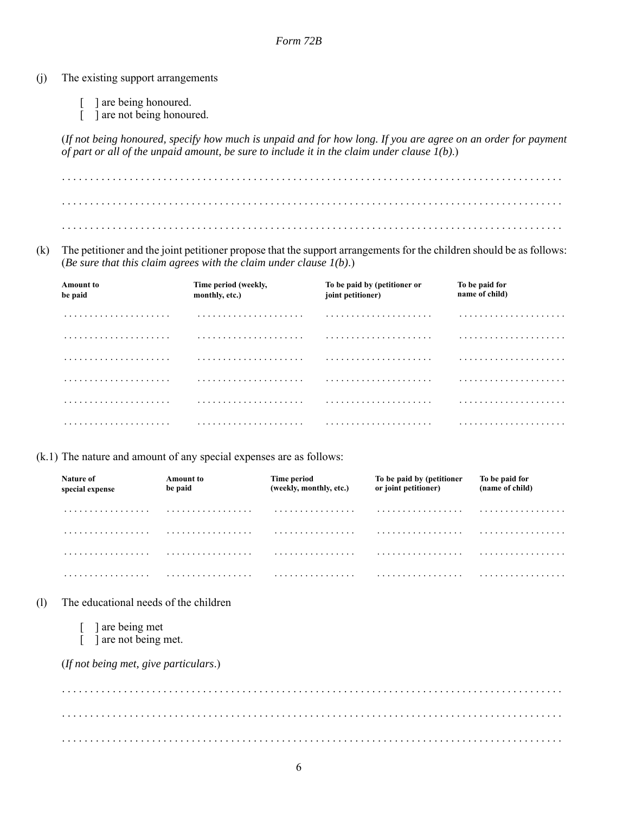- (j) The existing support arrangements
	- [ ] are being honoured.
	- [ ] are not being honoured.

(*If not being honoured, specify how much is unpaid and for how long. If you are agree on an order for payment of part or all of the unpaid amount, be sure to include it in the claim under clause 1(b)*.)

. . . . . . . . . . . . . . . . . . . . . . . . . . . . . . . . . . . . . . . . . . . . . . . . . . . . . . . . . . . . . . . . . . . . . . . . . . . . . . . . . . . . . . . . . . . . . . . . . . . . . . . . . . . . . . . . . . . . . . . . . . . . . . . . . . . . . . . . . . . . . . . . . . . . . . . . . . . . . . . . . . . . . . . . . . . . . . . . . . . . . . . . . . . . . . . . . . . . . . . . . . . . . . . . . . . . . . . . . . . . . . . . . . . . . . . . . . . . . . . . . . . . . . . . . . . . . . . . . . . . . . . . . . .

(k) The petitioner and the joint petitioner propose that the support arrangements for the children should be as follows: (*Be sure that this claim agrees with the claim under clause 1(b)*.)

| <b>Amount to</b><br>be paid | Time period (weekly,<br>monthly, etc.) | To be paid by (petitioner or<br>joint petitioner) | To be paid for<br>name of child) |
|-----------------------------|----------------------------------------|---------------------------------------------------|----------------------------------|
|                             |                                        |                                                   |                                  |
|                             |                                        |                                                   |                                  |
|                             |                                        |                                                   | .                                |
|                             |                                        |                                                   |                                  |
|                             |                                        |                                                   |                                  |
|                             |                                        |                                                   | .                                |

(k.1) The nature and amount of any special expenses are as follows:

| Nature of<br>special expense | <b>Amount to</b><br>be paid | Time period<br>(weekly, monthly, etc.) | To be paid by (petitioner<br>or joint petitioner) | To be paid for<br>(name of child) |
|------------------------------|-----------------------------|----------------------------------------|---------------------------------------------------|-----------------------------------|
| .                            | .                           | .                                      | .                                                 | .                                 |
| .                            | .                           | .                                      | .                                                 | .                                 |
| .                            | .                           | .                                      | .                                                 | .                                 |
| .                            | .                           | .                                      | .                                                 | .                                 |

- (l) The educational needs of the children
	- [ ] are being met
	- [ ] are not being met.

(*If not being met, give particulars*.)

. . . . . . . . . . . . . . . . . . . . . . . . . . . . . . . . . . . . . . . . . . . . . . . . . . . . . . . . . . . . . . . . . . . . . . . . . . . . . . . . . . . . . . . . . . . . . . . . . . . . . . . . . . . . . . . . . . . . . . . . . . . . . . . . . . . . . . . . . . . . . . . . . . . . . . . . . . . . . . . . . . . . . . . . . . . . . . . . . . . . . . . . . . . . . . . . . . . . . . . . . . . . . . . . . . . . . . . . . . . . . . . . . . . . . . . . . . . . . . . . . . . . . . . . . . . . . . . . . . . . . . . . . . .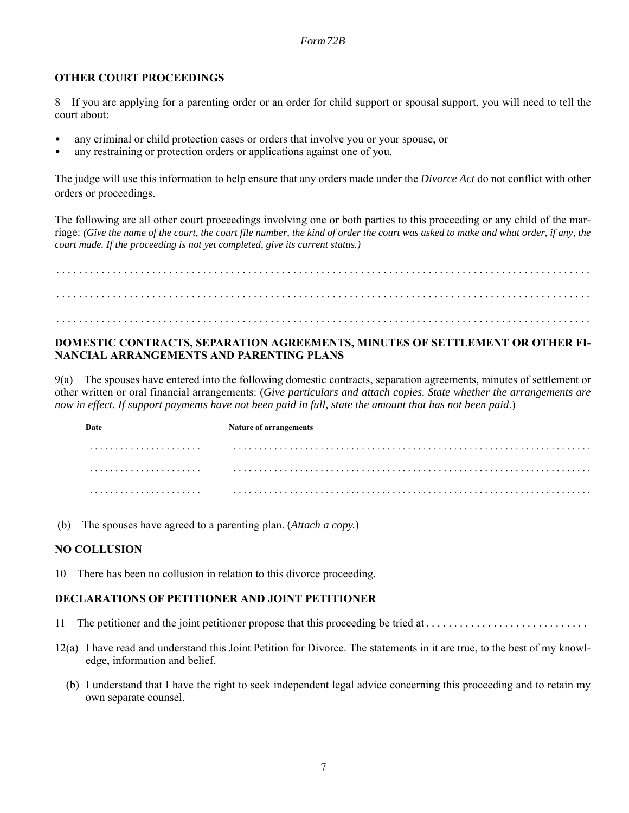### **OTHER COURT PROCEEDINGS**

8 If you are applying for a parenting order or an order for child support or spousal support, you will need to tell the court about:

- any criminal or child protection cases or orders that involve you or your spouse, or
- any restraining or protection orders or applications against one of you.

The judge will use this information to help ensure that any orders made under the *Divorce Act* do not conflict with other orders or proceedings.

The following are all other court proceedings involving one or both parties to this proceeding or any child of the marriage: *(Give the name of the court, the court file number, the kind of order the court was asked to make and what order, if any, the court made. If the proceeding is not yet completed, give its current status.)*

. . . . . . . . . . . . . . . . . . . . . . . . . . . . . . . . . . . . . . . . . . . . . . . . . . . . . . . . . . . . . . . . . . . . . . . . . . . . . . . . . . . . . . . . . . . . . . . . . . . . . . . . . . . . . . . . . . . . . . . . . . . . . . . . . . . . . . . . . . . . . . . . . . . . . . . . . . . . . . . . . . . . . . . . . . . . . . . . . . . . . . . . . . . . . . . . . . . . . . . . . . . . . . . . . . . . . . . . . . . . . . . . . . . . . . . . . . . . . . . . . . . . . . . . . . . . . . . . . . . . . . . . . . . . . . . . . . . . . . . . . . . . .

### **DOMESTIC CONTRACTS, SEPARATION AGREEMENTS, MINUTES OF SETTLEMENT OR OTHER FI-NANCIAL ARRANGEMENTS AND PARENTING PLANS**

9(a) The spouses have entered into the following domestic contracts, separation agreements, minutes of settlement or other written or oral financial arrangements: (*Give particulars and attach copies. State whether the arrangements are now in effect. If support payments have not been paid in full, state the amount that has not been paid*.)

**Date** Nature of arrangements . . . . . . . . . . . . . . . . . . . . . . . . . . . . . . . . . . . . . . . . . . . . . . . . . . . . . . . . . . . . . . . . . . . . . . . . . . . . . . . . . . . . . . . . . . . . . . . . . . . . . . . . . . . . . . . . . . . . . . . . . . . . . . . . . . . . . . . . . . . . . . . . . . . . . . . . . . . . . . . . . . . . . . . . . . . . . . . . . . . . . . . . . . . . . . . . . . . . . . . . . . . . . . . . . . . . . . . . . . . . . . . . . . . . . . . . . . . . . . . . . . . . . . . . . . . . . . . . . . . . . . . . . . . . . . . . . . . .

(b) The spouses have agreed to a parenting plan. (*Attach a copy.*)

### **NO COLLUSION**

10 There has been no collusion in relation to this divorce proceeding.

### **DECLARATIONS OF PETITIONER AND JOINT PETITIONER**

- 11 The petitioner and the joint petitioner propose that this proceeding be tried at . . . . . . . . . . . . . . . . . . . . . . . . . . . . .
- 12(a) I have read and understand this Joint Petition for Divorce. The statements in it are true, to the best of my knowledge, information and belief.
	- (b) I understand that I have the right to seek independent legal advice concerning this proceeding and to retain my own separate counsel.